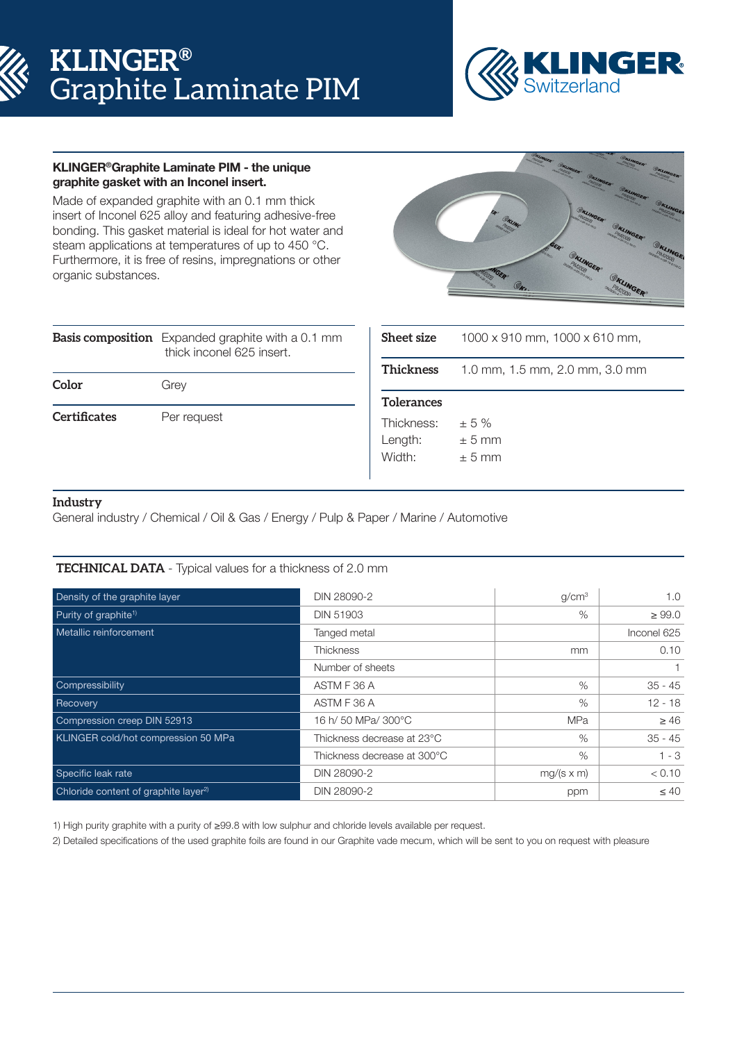# **KLINGER®** Graphite Laminate PIM



# KLINGER®Graphite Laminate PIM - the unique graphite gasket with an Inconel insert.

Made of expanded graphite with an 0.1 mm thick insert of Inconel 625 alloy and featuring adhesive-free bonding. This gasket material is ideal for hot water and steam applications at temperatures of up to 450 °C. Furthermore, it is free of resins, impregnations or other organic substances.



|                     | <b>Basis composition</b> Expanded graphite with a 0.1 mm<br>thick inconel 625 insert. |  |  |  |
|---------------------|---------------------------------------------------------------------------------------|--|--|--|
| Color               | Grey                                                                                  |  |  |  |
| <b>Certificates</b> | Per request                                                                           |  |  |  |

| <b>Sheet size</b>               | $1000 \times 910$ mm, $1000 \times 610$ mm, |  |  |
|---------------------------------|---------------------------------------------|--|--|
| Thickness                       | 1.0 mm, 1.5 mm, 2.0 mm, 3.0 mm              |  |  |
| <b>Tolerances</b>               |                                             |  |  |
| Thickness:<br>Length:<br>Width: | $+5%$<br>$± 5$ mm<br>$+5$ mm                |  |  |

# **Industry**

General industry / Chemical / Oil & Gas / Energy / Pulp & Paper / Marine / Automotive

# **TECHNICAL DATA** - Typical values for a thickness of 2.0 mm

| Density of the graphite layer                    | DIN 28090-2                 | q/cm <sup>3</sup> | 1.0         |  |
|--------------------------------------------------|-----------------------------|-------------------|-------------|--|
| Purity of graphite <sup>1)</sup>                 | <b>DIN 51903</b>            | $\%$              | $\geq 99.0$ |  |
| Metallic reinforcement                           | Tanged metal                |                   | Inconel 625 |  |
|                                                  | <b>Thickness</b>            | <sub>mm</sub>     | 0.10        |  |
|                                                  | Number of sheets            |                   |             |  |
| Compressibility                                  | ASTM F 36 A                 | $\%$              | $35 - 45$   |  |
| Recovery                                         | ASTM F 36 A                 | $\%$              | $12 - 18$   |  |
| Compression creep DIN 52913                      | 16 h/ 50 MPa/ 300°C         | <b>MPa</b>        | $\geq 46$   |  |
| <b>KLINGER cold/hot compression 50 MPa</b>       | Thickness decrease at 23°C  | $\%$              | $35 - 45$   |  |
|                                                  | Thickness decrease at 300°C | $\%$              | $1 - 3$     |  |
| Specific leak rate                               | DIN 28090-2                 | $mg/(s \times m)$ | < 0.10      |  |
| Chloride content of graphite layer <sup>2)</sup> | DIN 28090-2                 | ppm               | $\leq 40$   |  |

1) High purity graphite with a purity of ≥99.8 with low sulphur and chloride levels available per request.

2) Detailed specifications of the used graphite foils are found in our Graphite vade mecum, which will be sent to you on request with pleasure